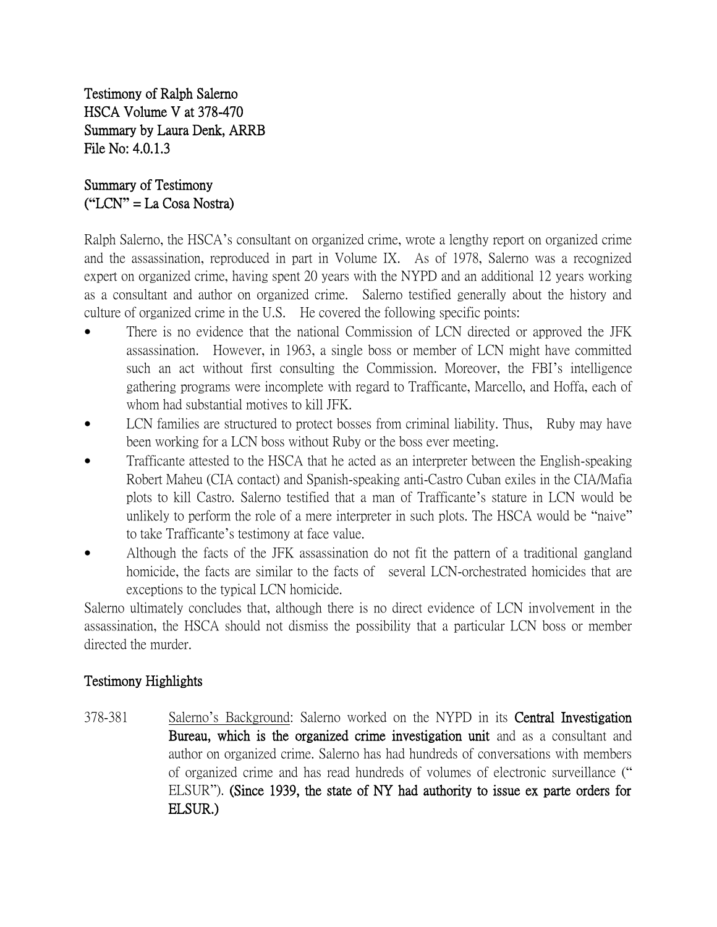Testimony of Ralph Salerno HSCA Volume V at 378-470 Summary by Laura Denk, ARRB File No: 4.0.1.3

## Summary of Testimony (**"**LCN**"** = La Cosa Nostra)

Ralph Salerno, the HSCA's consultant on organized crime, wrote a lengthy report on organized crime and the assassination, reproduced in part in Volume IX. As of 1978, Salerno was a recognized expert on organized crime, having spent 20 years with the NYPD and an additional 12 years working as a consultant and author on organized crime. Salerno testified generally about the history and culture of organized crime in the U.S. He covered the following specific points:

- There is no evidence that the national Commission of LCN directed or approved the JFK assassination. However, in 1963, a single boss or member of LCN might have committed such an act without first consulting the Commission. Moreover, the FBI's intelligence gathering programs were incomplete with regard to Trafficante, Marcello, and Hoffa, each of whom had substantial motives to kill JFK.
- LCN families are structured to protect bosses from criminal liability. Thus, Ruby may have been working for a LCN boss without Ruby or the boss ever meeting.
- Trafficante attested to the HSCA that he acted as an interpreter between the English-speaking Robert Maheu (CIA contact) and Spanish-speaking anti-Castro Cuban exiles in the CIA/Mafia plots to kill Castro. Salerno testified that a man of Trafficante's stature in LCN would be unlikely to perform the role of a mere interpreter in such plots. The HSCA would be "naive" to take Trafficante's testimony at face value.
- Although the facts of the JFK assassination do not fit the pattern of a traditional gangland homicide, the facts are similar to the facts of several LCN-orchestrated homicides that are exceptions to the typical LCN homicide.

Salerno ultimately concludes that, although there is no direct evidence of LCN involvement in the assassination, the HSCA should not dismiss the possibility that a particular LCN boss or member directed the murder.

## Testimony Highlights

378-381 Salerno's Background: Salerno worked on the NYPD in its Central Investigation Bureau, which is the organized crime investigation unit and as a consultant and author on organized crime. Salerno has had hundreds of conversations with members of organized crime and has read hundreds of volumes of electronic surveillance (" ELSUR"). (Since 1939, the state of NY had authority to issue ex parte orders for ELSUR.)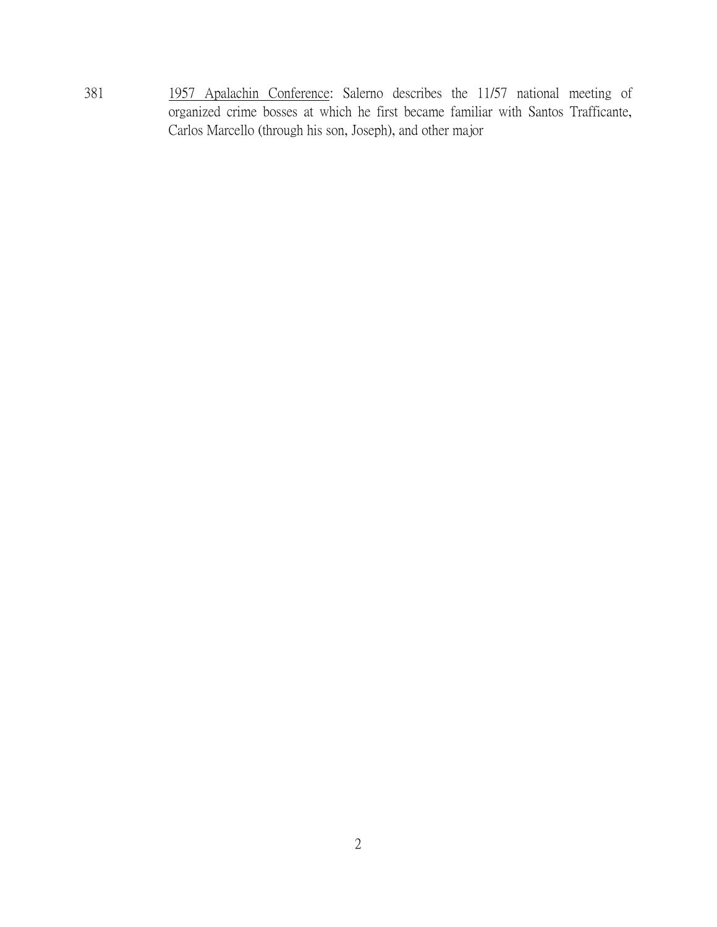381 1957 Apalachin Conference: Salerno describes the 11/57 national meeting of organized crime bosses at which he first became familiar with Santos Trafficante, Carlos Marcello (through his son, Joseph), and other major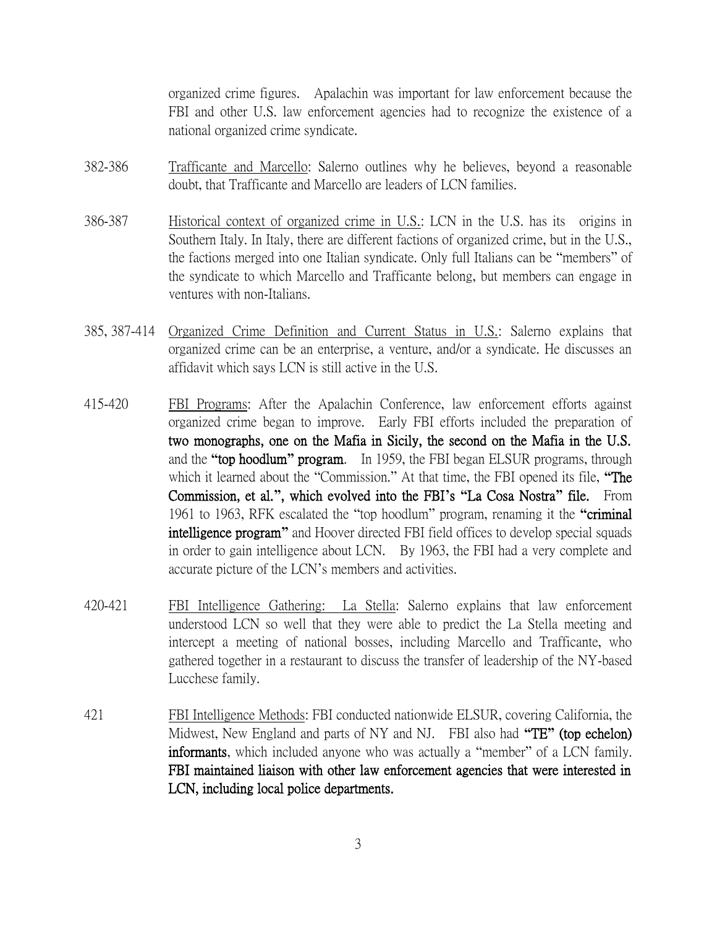organized crime figures. Apalachin was important for law enforcement because the FBI and other U.S. law enforcement agencies had to recognize the existence of a national organized crime syndicate.

- 382-386 Trafficante and Marcello: Salerno outlines why he believes, beyond a reasonable doubt, that Trafficante and Marcello are leaders of LCN families.
- 386-387 Historical context of organized crime in U.S.: LCN in the U.S. has its origins in Southern Italy. In Italy, there are different factions of organized crime, but in the U.S., the factions merged into one Italian syndicate. Only full Italians can be "members" of the syndicate to which Marcello and Trafficante belong, but members can engage in ventures with non-Italians.
- 385, 387-414 Organized Crime Definition and Current Status in U.S.: Salerno explains that organized crime can be an enterprise, a venture, and/or a syndicate. He discusses an affidavit which says LCN is still active in the U.S.
- 415-420 FBI Programs: After the Apalachin Conference, law enforcement efforts against organized crime began to improve. Early FBI efforts included the preparation of two monographs, one on the Mafia in Sicily, the second on the Mafia in the U.S. and the **"**top hoodlum**"** program. In 1959, the FBI began ELSUR programs, through which it learned about the "Commission." At that time, the FBI opened its file, **"**The Commission, et al.**"**, which evolved into the FBI**'**s **"**La Cosa Nostra**"** file. From 1961 to 1963, RFK escalated the "top hoodlum" program, renaming it the **"**criminal intelligence program**"** and Hoover directed FBI field offices to develop special squads in order to gain intelligence about LCN. By 1963, the FBI had a very complete and accurate picture of the LCN's members and activities.
- 420-421 FBI Intelligence Gathering: La Stella: Salerno explains that law enforcement understood LCN so well that they were able to predict the La Stella meeting and intercept a meeting of national bosses, including Marcello and Trafficante, who gathered together in a restaurant to discuss the transfer of leadership of the NY-based Lucchese family.
- 421 FBI Intelligence Methods: FBI conducted nationwide ELSUR, covering California, the Midwest, New England and parts of NY and NJ. FBI also had **"**TE**"** (top echelon) informants, which included anyone who was actually a "member" of a LCN family. FBI maintained liaison with other law enforcement agencies that were interested in LCN, including local police departments.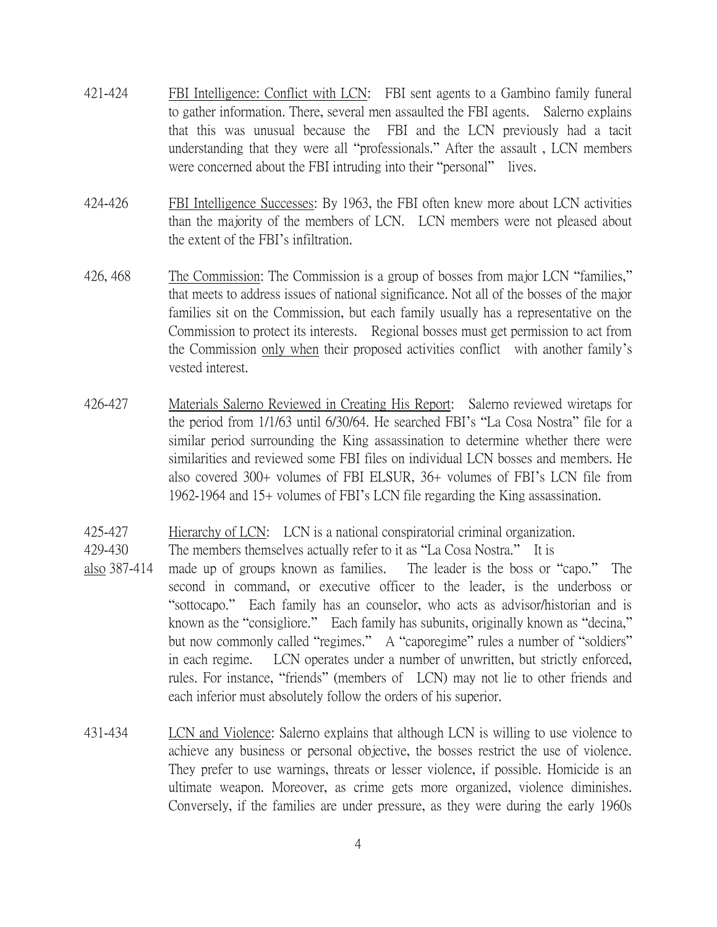- 421-424 FBI Intelligence: Conflict with LCN: FBI sent agents to a Gambino family funeral to gather information. There, several men assaulted the FBI agents. Salerno explains that this was unusual because the FBI and the LCN previously had a tacit understanding that they were all "professionals." After the assault , LCN members were concerned about the FBI intruding into their "personal" lives.
- 424-426 FBI Intelligence Successes: By 1963, the FBI often knew more about LCN activities than the majority of the members of LCN. LCN members were not pleased about the extent of the FBI's infiltration.
- 426, 468 The Commission: The Commission is a group of bosses from major LCN "families," that meets to address issues of national significance. Not all of the bosses of the major families sit on the Commission, but each family usually has a representative on the Commission to protect its interests. Regional bosses must get permission to act from the Commission only when their proposed activities conflict with another family's vested interest.
- 426-427 Materials Salerno Reviewed in Creating His Report: Salerno reviewed wiretaps for the period from 1/1/63 until 6/30/64. He searched FBI's "La Cosa Nostra" file for a similar period surrounding the King assassination to determine whether there were similarities and reviewed some FBI files on individual LCN bosses and members. He also covered 300+ volumes of FBI ELSUR, 36+ volumes of FBI's LCN file from 1962-1964 and 15+ volumes of FBI's LCN file regarding the King assassination.
- 425-427 Hierarchy of LCN: LCN is a national conspiratorial criminal organization.
- 429-430 The members themselves actually refer to it as "La Cosa Nostra." It is
- also 387-414 made up of groups known as families. The leader is the boss or "capo." The second in command, or executive officer to the leader, is the underboss or "sottocapo." Each family has an counselor, who acts as advisor/historian and is known as the "consigliore." Each family has subunits, originally known as "decina," but now commonly called "regimes." A "caporegime" rules a number of "soldiers" in each regime. LCN operates under a number of unwritten, but strictly enforced, rules. For instance, "friends" (members of LCN) may not lie to other friends and each inferior must absolutely follow the orders of his superior.
- 431-434 LCN and Violence: Salerno explains that although LCN is willing to use violence to achieve any business or personal objective, the bosses restrict the use of violence. They prefer to use warnings, threats or lesser violence, if possible. Homicide is an ultimate weapon. Moreover, as crime gets more organized, violence diminishes. Conversely, if the families are under pressure, as they were during the early 1960s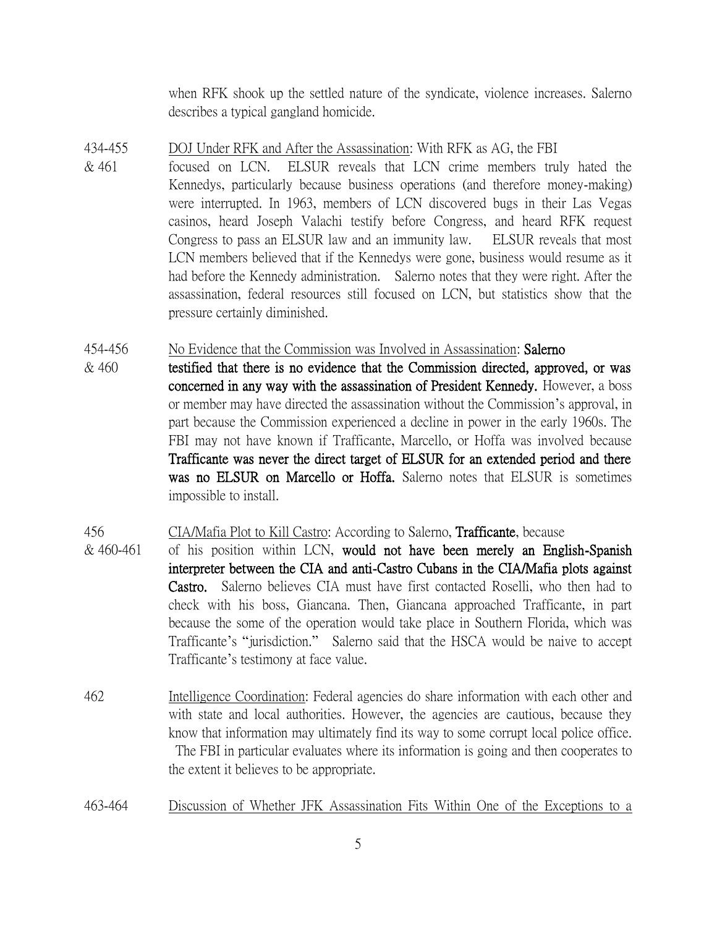when RFK shook up the settled nature of the syndicate, violence increases. Salerno describes a typical gangland homicide.

- 434-455 DOJ Under RFK and After the Assassination: With RFK as AG, the FBI
- & 461 focused on LCN. ELSUR reveals that LCN crime members truly hated the Kennedys, particularly because business operations (and therefore money-making) were interrupted. In 1963, members of LCN discovered bugs in their Las Vegas casinos, heard Joseph Valachi testify before Congress, and heard RFK request Congress to pass an ELSUR law and an immunity law. ELSUR reveals that most LCN members believed that if the Kennedys were gone, business would resume as it had before the Kennedy administration. Salerno notes that they were right. After the assassination, federal resources still focused on LCN, but statistics show that the pressure certainly diminished.

## 454-456 No Evidence that the Commission was Involved in Assassination: Salerno

 $& 460$  testified that there is no evidence that the Commission directed, approved, or was concerned in any way with the assassination of President Kennedy. However, a boss or member may have directed the assassination without the Commission's approval, in part because the Commission experienced a decline in power in the early 1960s. The FBI may not have known if Trafficante, Marcello, or Hoffa was involved because Trafficante was never the direct target of ELSUR for an extended period and there was no ELSUR on Marcello or Hoffa. Salerno notes that ELSUR is sometimes impossible to install.

## 456 CIA/Mafia Plot to Kill Castro: According to Salerno, Trafficante, because

- $& 460-461$  of his position within LCN, would not have been merely an English-Spanish interpreter between the CIA and anti-Castro Cubans in the CIA/Mafia plots against Castro. Salerno believes CIA must have first contacted Roselli, who then had to check with his boss, Giancana. Then, Giancana approached Trafficante, in part because the some of the operation would take place in Southern Florida, which was Trafficante's "jurisdiction." Salerno said that the HSCA would be naive to accept Trafficante's testimony at face value.
- 462 Intelligence Coordination: Federal agencies do share information with each other and with state and local authorities. However, the agencies are cautious, because they know that information may ultimately find its way to some corrupt local police office. The FBI in particular evaluates where its information is going and then cooperates to the extent it believes to be appropriate.
- 463-464 Discussion of Whether JFK Assassination Fits Within One of the Exceptions to a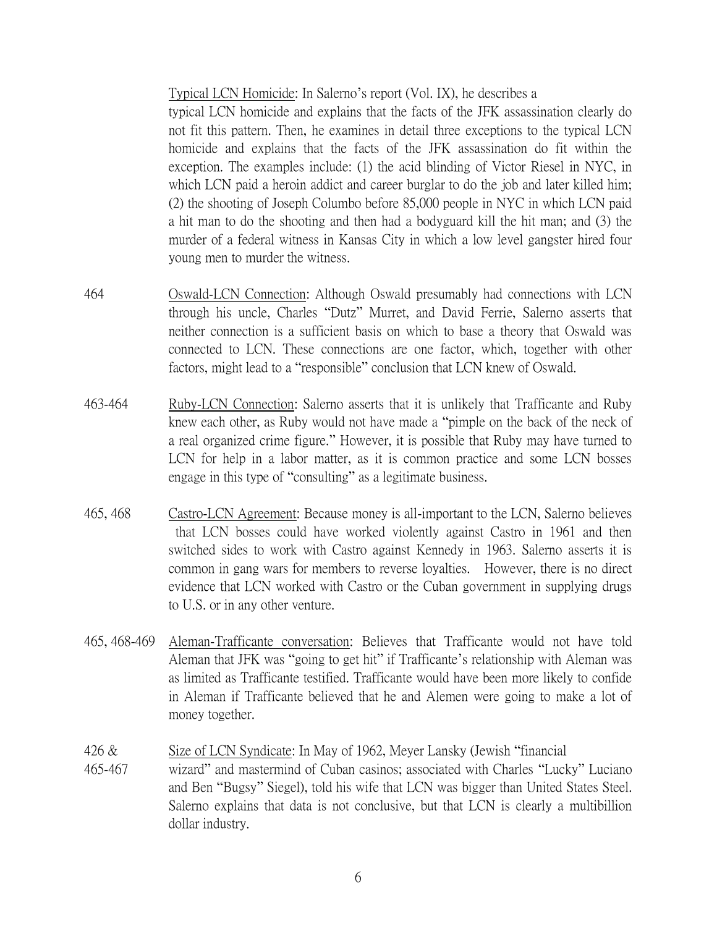Typical LCN Homicide: In Salerno's report (Vol. IX), he describes a

typical LCN homicide and explains that the facts of the JFK assassination clearly do not fit this pattern. Then, he examines in detail three exceptions to the typical LCN homicide and explains that the facts of the JFK assassination do fit within the exception. The examples include: (1) the acid blinding of Victor Riesel in NYC, in which LCN paid a heroin addict and career burglar to do the job and later killed him; (2) the shooting of Joseph Columbo before 85,000 people in NYC in which LCN paid a hit man to do the shooting and then had a bodyguard kill the hit man; and (3) the murder of a federal witness in Kansas City in which a low level gangster hired four young men to murder the witness.

- 464 Oswald-LCN Connection: Although Oswald presumably had connections with LCN through his uncle, Charles "Dutz" Murret, and David Ferrie, Salerno asserts that neither connection is a sufficient basis on which to base a theory that Oswald was connected to LCN. These connections are one factor, which, together with other factors, might lead to a "responsible" conclusion that LCN knew of Oswald.
- 463-464 Ruby-LCN Connection: Salerno asserts that it is unlikely that Trafficante and Ruby knew each other, as Ruby would not have made a "pimple on the back of the neck of a real organized crime figure." However, it is possible that Ruby may have turned to LCN for help in a labor matter, as it is common practice and some LCN bosses engage in this type of "consulting" as a legitimate business.
- 465, 468 Castro-LCN Agreement: Because money is all-important to the LCN, Salerno believes that LCN bosses could have worked violently against Castro in 1961 and then switched sides to work with Castro against Kennedy in 1963. Salerno asserts it is common in gang wars for members to reverse loyalties. However, there is no direct evidence that LCN worked with Castro or the Cuban government in supplying drugs to U.S. or in any other venture.
- 465, 468-469 Aleman-Trafficante conversation: Believes that Trafficante would not have told Aleman that JFK was "going to get hit" if Trafficante's relationship with Aleman was as limited as Trafficante testified. Trafficante would have been more likely to confide in Aleman if Trafficante believed that he and Alemen were going to make a lot of money together.
- 426 & Size of LCN Syndicate: In May of 1962, Meyer Lansky (Jewish "financial
- 465-467 wizard" and mastermind of Cuban casinos; associated with Charles "Lucky" Luciano and Ben "Bugsy" Siegel), told his wife that LCN was bigger than United States Steel. Salerno explains that data is not conclusive, but that LCN is clearly a multibillion dollar industry.